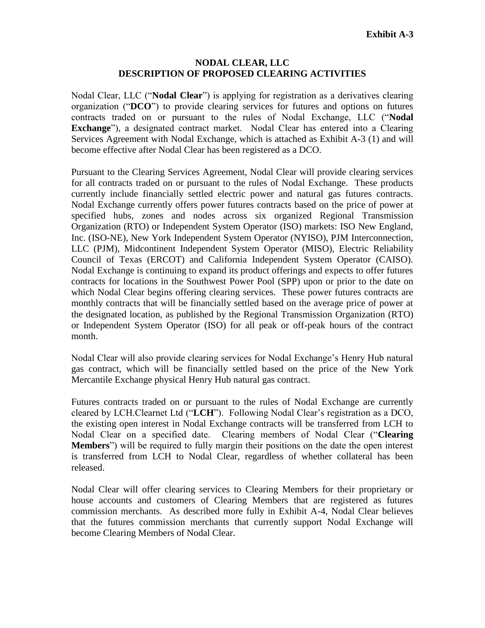## **NODAL CLEAR, LLC DESCRIPTION OF PROPOSED CLEARING ACTIVITIES**

Nodal Clear, LLC ("**Nodal Clear**") is applying for registration as a derivatives clearing organization ("**DCO**") to provide clearing services for futures and options on futures contracts traded on or pursuant to the rules of Nodal Exchange, LLC ("**Nodal Exchange**"), a designated contract market. Nodal Clear has entered into a Clearing Services Agreement with Nodal Exchange, which is attached as Exhibit A-3 (1) and will become effective after Nodal Clear has been registered as a DCO.

Pursuant to the Clearing Services Agreement, Nodal Clear will provide clearing services for all contracts traded on or pursuant to the rules of Nodal Exchange. These products currently include financially settled electric power and natural gas futures contracts. Nodal Exchange currently offers power futures contracts based on the price of power at specified hubs, zones and nodes across six organized Regional Transmission Organization (RTO) or Independent System Operator (ISO) markets: ISO New England, Inc. (ISO-NE), New York Independent System Operator (NYISO), PJM Interconnection, LLC (PJM), Midcontinent Independent System Operator (MISO), Electric Reliability Council of Texas (ERCOT) and California Independent System Operator (CAISO). Nodal Exchange is continuing to expand its product offerings and expects to offer futures contracts for locations in the Southwest Power Pool (SPP) upon or prior to the date on which Nodal Clear begins offering clearing services. These power futures contracts are monthly contracts that will be financially settled based on the average price of power at the designated location, as published by the Regional Transmission Organization (RTO) or Independent System Operator (ISO) for all peak or off-peak hours of the contract month.

Nodal Clear will also provide clearing services for Nodal Exchange's Henry Hub natural gas contract, which will be financially settled based on the price of the New York Mercantile Exchange physical Henry Hub natural gas contract.

Futures contracts traded on or pursuant to the rules of Nodal Exchange are currently cleared by LCH.Clearnet Ltd ("**LCH**"). Following Nodal Clear's registration as a DCO, the existing open interest in Nodal Exchange contracts will be transferred from LCH to Nodal Clear on a specified date. Clearing members of Nodal Clear ("**Clearing Members**") will be required to fully margin their positions on the date the open interest is transferred from LCH to Nodal Clear, regardless of whether collateral has been released.

Nodal Clear will offer clearing services to Clearing Members for their proprietary or house accounts and customers of Clearing Members that are registered as futures commission merchants. As described more fully in Exhibit A-4, Nodal Clear believes that the futures commission merchants that currently support Nodal Exchange will become Clearing Members of Nodal Clear.